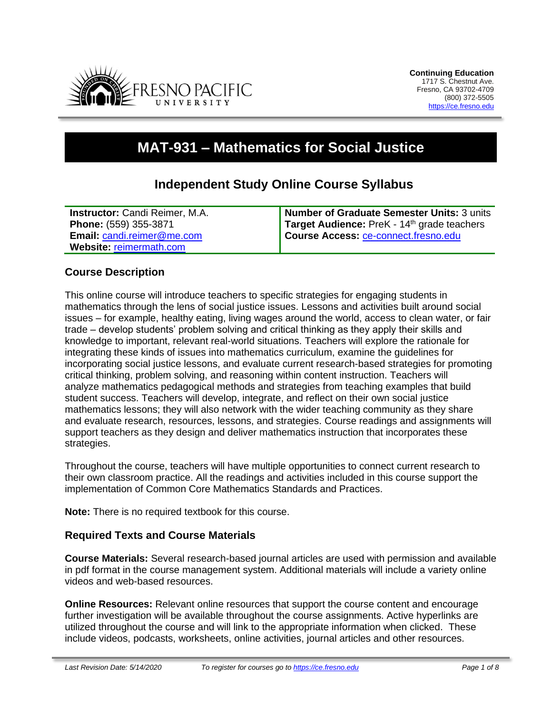

# **MAT-931 – Mathematics for Social Justice**

# **Independent Study Online Course Syllabus**

| <b>Instructor:</b> Candi Reimer, M.A. | Number of Graduate Semester Units: 3 units              |
|---------------------------------------|---------------------------------------------------------|
| Phone: (559) 355-3871                 | Target Audience: PreK - 14 <sup>th</sup> grade teachers |
| Email: candi.reimer@me.com            | Course Access: ce-connect.fresno.edu                    |
| Website: reimermath.com               |                                                         |

# **Course Description**

This online course will introduce teachers to specific strategies for engaging students in mathematics through the lens of social justice issues. Lessons and activities built around social issues – for example, healthy eating, living wages around the world, access to clean water, or fair trade – develop students' problem solving and critical thinking as they apply their skills and knowledge to important, relevant real-world situations. Teachers will explore the rationale for integrating these kinds of issues into mathematics curriculum, examine the guidelines for incorporating social justice lessons, and evaluate current research-based strategies for promoting critical thinking, problem solving, and reasoning within content instruction. Teachers will analyze mathematics pedagogical methods and strategies from teaching examples that build student success. Teachers will develop, integrate, and reflect on their own social justice mathematics lessons; they will also network with the wider teaching community as they share and evaluate research, resources, lessons, and strategies. Course readings and assignments will support teachers as they design and deliver mathematics instruction that incorporates these strategies.

Throughout the course, teachers will have multiple opportunities to connect current research to their own classroom practice. All the readings and activities included in this course support the implementation of Common Core Mathematics Standards and Practices.

**Note:** There is no required textbook for this course.

# **Required Texts and Course Materials**

**Course Materials:** Several research-based journal articles are used with permission and available in pdf format in the course management system. Additional materials will include a variety online videos and web-based resources.

**Online Resources:** Relevant online resources that support the course content and encourage further investigation will be available throughout the course assignments. Active hyperlinks are utilized throughout the course and will link to the appropriate information when clicked. These include videos, podcasts, worksheets, online activities, journal articles and other resources.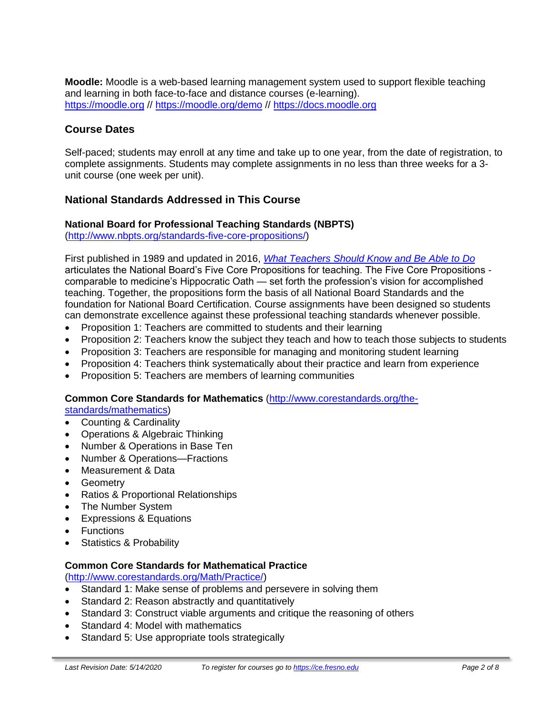**Moodle:** Moodle is a web-based learning management system used to support flexible teaching and learning in both face-to-face and distance courses (e-learning). [https://moodle.org](https://moodle.org/) // <https://moodle.org/demo> // [https://docs.moodle.org](https://docs.moodle.org/)

# **Course Dates**

Self-paced; students may enroll at any time and take up to one year, from the date of registration, to complete assignments. Students may complete assignments in no less than three weeks for a 3 unit course (one week per unit).

# **National Standards Addressed in This Course**

#### **National Board for Professional Teaching Standards (NBPTS)**

[\(http://www.nbpts.org/standards-five-core-propositions/\)](http://www.nbpts.org/standards-five-core-propositions/)

First published in 1989 and updated in 2016, *[What Teachers Should Know and Be Able to Do](http://www.accomplishedteacher.org/)* articulates the National Board's Five Core Propositions for teaching. The Five Core Propositions comparable to medicine's Hippocratic Oath — set forth the profession's vision for accomplished teaching. Together, the propositions form the basis of all National Board Standards and the foundation for National Board Certification. Course assignments have been designed so students can demonstrate excellence against these professional teaching standards whenever possible.

- Proposition 1: Teachers are committed to students and their learning
- Proposition 2: Teachers know the subject they teach and how to teach those subjects to students
- Proposition 3: Teachers are responsible for managing and monitoring student learning
- Proposition 4: Teachers think systematically about their practice and learn from experience
- Proposition 5: Teachers are members of learning communities

#### **Common Core Standards for Mathematics** [\(http://www.corestandards.org/the-](http://www.corestandards.org/the-standards/mathematics)

[standards/mathematics\)](http://www.corestandards.org/the-standards/mathematics)

- Counting & Cardinality
- Operations & Algebraic Thinking
- Number & Operations in Base Ten
- Number & Operations—Fractions
- Measurement & Data
- Geometry
- Ratios & Proportional Relationships
- The Number System
- Expressions & Equations
- Functions
- Statistics & Probability

#### **Common Core Standards for Mathematical Practice**

[\(http://www.corestandards.org/Math/Practice/\)](http://www.corestandards.org/Math/Practice/)

- Standard 1: Make sense of problems and persevere in solving them
- Standard 2: Reason abstractly and quantitatively
- Standard 3: Construct viable arguments and critique the reasoning of others
- Standard 4: Model with mathematics
- Standard 5: Use appropriate tools strategically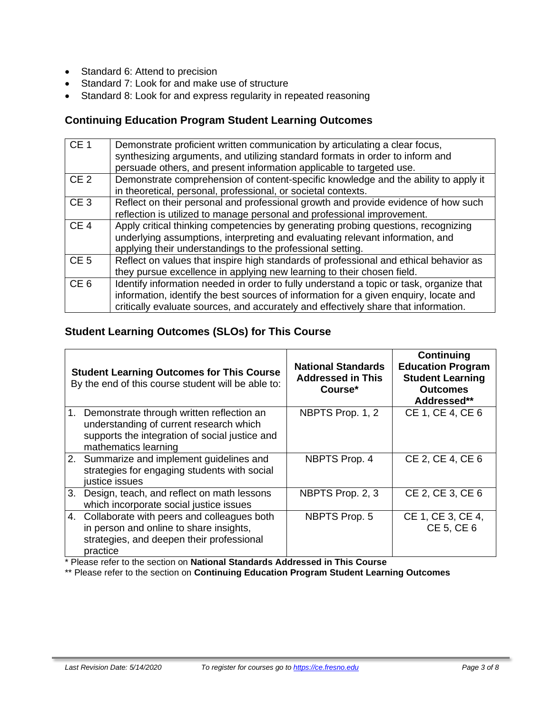- Standard 6: Attend to precision
- Standard 7: Look for and make use of structure
- Standard 8: Look for and express regularity in repeated reasoning

# **Continuing Education Program Student Learning Outcomes**

| CE <sub>1</sub> | Demonstrate proficient written communication by articulating a clear focus,<br>synthesizing arguments, and utilizing standard formats in order to inform and<br>persuade others, and present information applicable to targeted use.                                    |
|-----------------|-------------------------------------------------------------------------------------------------------------------------------------------------------------------------------------------------------------------------------------------------------------------------|
| CE <sub>2</sub> | Demonstrate comprehension of content-specific knowledge and the ability to apply it<br>in theoretical, personal, professional, or societal contexts.                                                                                                                    |
| CE <sub>3</sub> | Reflect on their personal and professional growth and provide evidence of how such<br>reflection is utilized to manage personal and professional improvement.                                                                                                           |
| CE <sub>4</sub> | Apply critical thinking competencies by generating probing questions, recognizing<br>underlying assumptions, interpreting and evaluating relevant information, and<br>applying their understandings to the professional setting.                                        |
| CE <sub>5</sub> | Reflect on values that inspire high standards of professional and ethical behavior as<br>they pursue excellence in applying new learning to their chosen field.                                                                                                         |
| CE <sub>6</sub> | Identify information needed in order to fully understand a topic or task, organize that<br>information, identify the best sources of information for a given enquiry, locate and<br>critically evaluate sources, and accurately and effectively share that information. |

# **Student Learning Outcomes (SLOs) for This Course**

|    | <b>Student Learning Outcomes for This Course</b><br>By the end of this course student will be able to:                                                            | <b>National Standards</b><br><b>Addressed in This</b><br>Course* | Continuing<br><b>Education Program</b><br><b>Student Learning</b><br><b>Outcomes</b><br>Addressed** |
|----|-------------------------------------------------------------------------------------------------------------------------------------------------------------------|------------------------------------------------------------------|-----------------------------------------------------------------------------------------------------|
|    | 1. Demonstrate through written reflection an<br>understanding of current research which<br>supports the integration of social justice and<br>mathematics learning | NBPTS Prop. 1, 2                                                 | CE 1, CE 4, CE 6                                                                                    |
|    | 2. Summarize and implement guidelines and<br>strategies for engaging students with social<br>justice issues                                                       | NBPTS Prop. 4                                                    | CE 2, CE 4, CE 6                                                                                    |
| 3. | Design, teach, and reflect on math lessons<br>which incorporate social justice issues                                                                             | NBPTS Prop. 2, 3                                                 | CE 2, CE 3, CE 6                                                                                    |
|    | 4. Collaborate with peers and colleagues both<br>in person and online to share insights,<br>strategies, and deepen their professional<br>practice                 | <b>NBPTS Prop. 5</b>                                             | CE 1, CE 3, CE 4,<br>CE 5, CE 6                                                                     |

\* Please refer to the section on **National Standards Addressed in This Course**

\*\* Please refer to the section on **Continuing Education Program Student Learning Outcomes**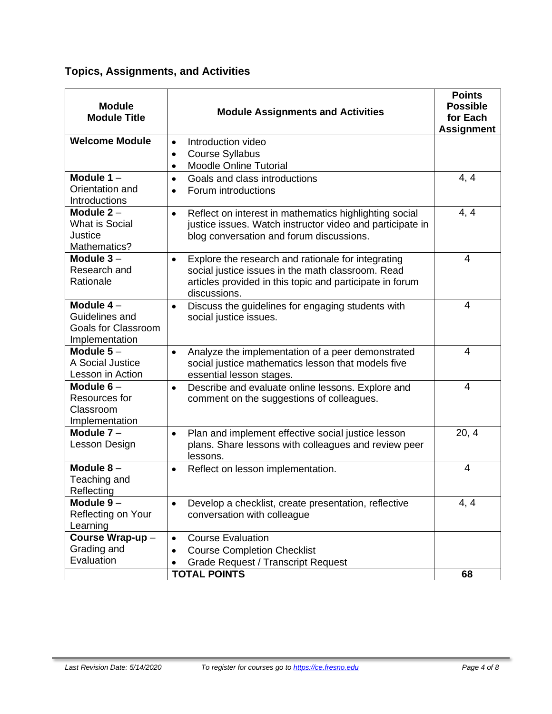# **Topics, Assignments, and Activities**

| <b>Module</b><br><b>Module Title</b>                                                                                                                                                                                                         | <b>Module Assignments and Activities</b>                                                                                                                                     | <b>Points</b><br><b>Possible</b><br>for Each<br><b>Assignment</b> |
|----------------------------------------------------------------------------------------------------------------------------------------------------------------------------------------------------------------------------------------------|------------------------------------------------------------------------------------------------------------------------------------------------------------------------------|-------------------------------------------------------------------|
| <b>Welcome Module</b>                                                                                                                                                                                                                        | Introduction video<br>$\bullet$<br><b>Course Syllabus</b><br>$\bullet$                                                                                                       |                                                                   |
| Module $1 -$<br>Orientation and<br>Introductions                                                                                                                                                                                             | <b>Moodle Online Tutorial</b><br>$\bullet$<br>Goals and class introductions<br>$\bullet$<br>Forum introductions<br>$\bullet$                                                 | 4, 4                                                              |
| Module $2 -$<br><b>What is Social</b><br>Justice<br>Mathematics?                                                                                                                                                                             | Reflect on interest in mathematics highlighting social<br>$\bullet$<br>justice issues. Watch instructor video and participate in<br>blog conversation and forum discussions. | 4, 4                                                              |
| Module $3-$<br>Explore the research and rationale for integrating<br>$\bullet$<br>Research and<br>social justice issues in the math classroom. Read<br>Rationale<br>articles provided in this topic and participate in forum<br>discussions. |                                                                                                                                                                              | 4                                                                 |
| Module $4-$<br>Guidelines and<br><b>Goals for Classroom</b><br>Implementation                                                                                                                                                                | Discuss the guidelines for engaging students with<br>$\bullet$<br>social justice issues.                                                                                     | 4                                                                 |
| Module $5-$<br>A Social Justice<br>Lesson in Action                                                                                                                                                                                          | Analyze the implementation of a peer demonstrated<br>$\bullet$<br>social justice mathematics lesson that models five<br>essential lesson stages.                             | $\overline{4}$                                                    |
| Module $6-$<br>Describe and evaluate online lessons. Explore and<br>$\bullet$<br>Resources for<br>comment on the suggestions of colleagues.<br>Classroom<br>Implementation                                                                   |                                                                                                                                                                              | $\overline{4}$                                                    |
| Module $7 -$<br>Lesson Design                                                                                                                                                                                                                | Plan and implement effective social justice lesson<br>$\bullet$<br>plans. Share lessons with colleagues and review peer<br>lessons.                                          |                                                                   |
| Module $8-$<br>Teaching and<br>Reflecting                                                                                                                                                                                                    | Reflect on lesson implementation.<br>$\bullet$                                                                                                                               |                                                                   |
| Module $9-$<br>Reflecting on Your<br>Learning                                                                                                                                                                                                | Develop a checklist, create presentation, reflective<br>$\bullet$<br>conversation with colleague                                                                             |                                                                   |
| Course Wrap-up-<br>Grading and<br>Evaluation                                                                                                                                                                                                 | <b>Course Evaluation</b><br>$\bullet$<br><b>Course Completion Checklist</b><br>Grade Request / Transcript Request                                                            |                                                                   |
|                                                                                                                                                                                                                                              | <b>TOTAL POINTS</b>                                                                                                                                                          | 68                                                                |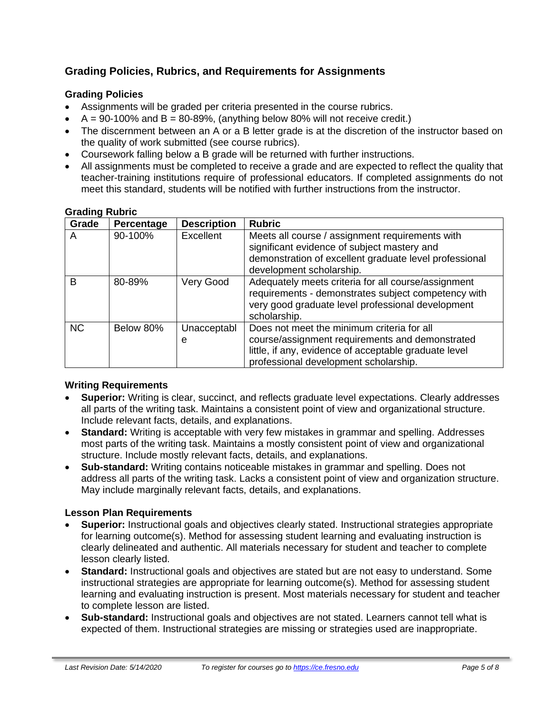# **Grading Policies, Rubrics, and Requirements for Assignments**

# **Grading Policies**

- Assignments will be graded per criteria presented in the course rubrics.
- $A = 90-100\%$  and  $B = 80-89\%$ , (anything below 80% will not receive credit.)
- The discernment between an A or a B letter grade is at the discretion of the instructor based on the quality of work submitted (see course rubrics).
- Coursework falling below a B grade will be returned with further instructions.
- All assignments must be completed to receive a grade and are expected to reflect the quality that teacher-training institutions require of professional educators. If completed assignments do not meet this standard, students will be notified with further instructions from the instructor.

| .<br>Grade | Percentage | <b>Description</b>                                                                                                                                                                           | <b>Rubric</b>                                                                                                                                                                                   |
|------------|------------|----------------------------------------------------------------------------------------------------------------------------------------------------------------------------------------------|-------------------------------------------------------------------------------------------------------------------------------------------------------------------------------------------------|
| A          | 90-100%    | <b>Excellent</b>                                                                                                                                                                             | Meets all course / assignment requirements with<br>significant evidence of subject mastery and<br>demonstration of excellent graduate level professional<br>development scholarship.            |
| B          | 80-89%     | Adequately meets criteria for all course/assignment<br>Very Good<br>requirements - demonstrates subject competency with<br>very good graduate level professional development<br>scholarship. |                                                                                                                                                                                                 |
| <b>NC</b>  | Below 80%  | Unacceptabl<br>e                                                                                                                                                                             | Does not meet the minimum criteria for all<br>course/assignment requirements and demonstrated<br>little, if any, evidence of acceptable graduate level<br>professional development scholarship. |

#### **Grading Rubric**

#### **Writing Requirements**

- **Superior:** Writing is clear, succinct, and reflects graduate level expectations. Clearly addresses all parts of the writing task. Maintains a consistent point of view and organizational structure. Include relevant facts, details, and explanations.
- **Standard:** Writing is acceptable with very few mistakes in grammar and spelling. Addresses most parts of the writing task. Maintains a mostly consistent point of view and organizational structure. Include mostly relevant facts, details, and explanations.
- **Sub-standard:** Writing contains noticeable mistakes in grammar and spelling. Does not address all parts of the writing task. Lacks a consistent point of view and organization structure. May include marginally relevant facts, details, and explanations.

#### **Lesson Plan Requirements**

- **Superior:** Instructional goals and objectives clearly stated. Instructional strategies appropriate for learning outcome(s). Method for assessing student learning and evaluating instruction is clearly delineated and authentic. All materials necessary for student and teacher to complete lesson clearly listed.
- **Standard:** Instructional goals and objectives are stated but are not easy to understand. Some instructional strategies are appropriate for learning outcome(s). Method for assessing student learning and evaluating instruction is present. Most materials necessary for student and teacher to complete lesson are listed.
- **Sub-standard:** Instructional goals and objectives are not stated. Learners cannot tell what is expected of them. Instructional strategies are missing or strategies used are inappropriate.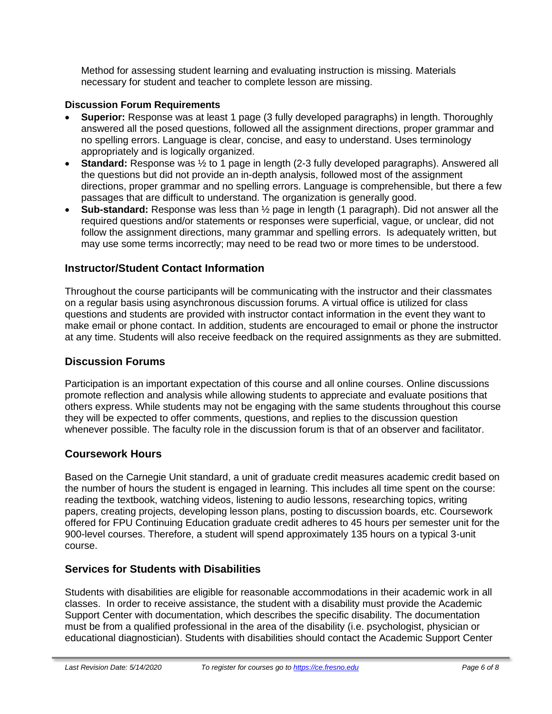Method for assessing student learning and evaluating instruction is missing. Materials necessary for student and teacher to complete lesson are missing.

### **Discussion Forum Requirements**

- **Superior:** Response was at least 1 page (3 fully developed paragraphs) in length. Thoroughly answered all the posed questions, followed all the assignment directions, proper grammar and no spelling errors. Language is clear, concise, and easy to understand. Uses terminology appropriately and is logically organized.
- **Standard:** Response was  $\frac{1}{2}$  to 1 page in length (2-3 fully developed paragraphs). Answered all the questions but did not provide an in-depth analysis, followed most of the assignment directions, proper grammar and no spelling errors. Language is comprehensible, but there a few passages that are difficult to understand. The organization is generally good.
- **Sub-standard:** Response was less than ½ page in length (1 paragraph). Did not answer all the required questions and/or statements or responses were superficial, vague, or unclear, did not follow the assignment directions, many grammar and spelling errors. Is adequately written, but may use some terms incorrectly; may need to be read two or more times to be understood.

# **Instructor/Student Contact Information**

Throughout the course participants will be communicating with the instructor and their classmates on a regular basis using asynchronous discussion forums. A virtual office is utilized for class questions and students are provided with instructor contact information in the event they want to make email or phone contact. In addition, students are encouraged to email or phone the instructor at any time. Students will also receive feedback on the required assignments as they are submitted.

# **Discussion Forums**

Participation is an important expectation of this course and all online courses. Online discussions promote reflection and analysis while allowing students to appreciate and evaluate positions that others express. While students may not be engaging with the same students throughout this course they will be expected to offer comments, questions, and replies to the discussion question whenever possible. The faculty role in the discussion forum is that of an observer and facilitator.

# **Coursework Hours**

Based on the Carnegie Unit standard, a unit of graduate credit measures academic credit based on the number of hours the student is engaged in learning. This includes all time spent on the course: reading the textbook, watching videos, listening to audio lessons, researching topics, writing papers, creating projects, developing lesson plans, posting to discussion boards, etc. Coursework offered for FPU Continuing Education graduate credit adheres to 45 hours per semester unit for the 900-level courses. Therefore, a student will spend approximately 135 hours on a typical 3-unit course.

# **Services for Students with Disabilities**

Students with disabilities are eligible for reasonable accommodations in their academic work in all classes. In order to receive assistance, the student with a disability must provide the Academic Support Center with documentation, which describes the specific disability. The documentation must be from a qualified professional in the area of the disability (i.e. psychologist, physician or educational diagnostician). Students with disabilities should contact the Academic Support Center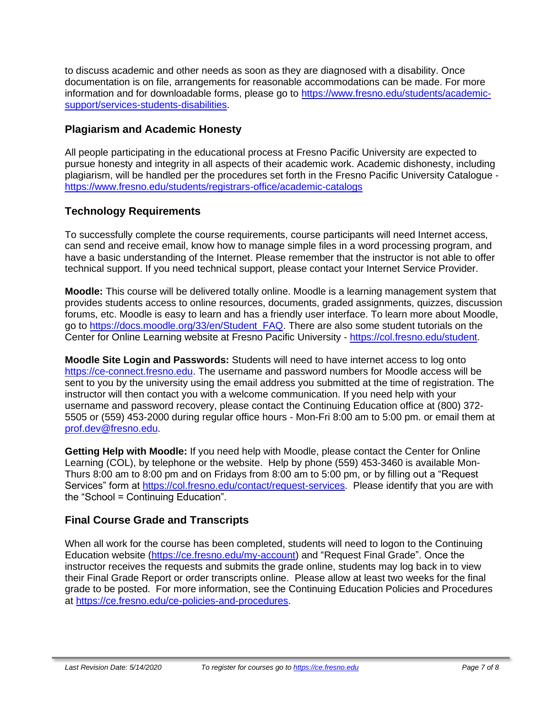to discuss academic and other needs as soon as they are diagnosed with a disability. Once documentation is on file, arrangements for reasonable accommodations can be made. For more information and for downloadable forms, please go to [https://www.fresno.edu/students/academic](https://www.fresno.edu/students/academic-support/services-students-disabilities)[support/services-students-disabilities.](https://www.fresno.edu/students/academic-support/services-students-disabilities)

# **Plagiarism and Academic Honesty**

All people participating in the educational process at Fresno Pacific University are expected to pursue honesty and integrity in all aspects of their academic work. Academic dishonesty, including plagiarism, will be handled per the procedures set forth in the Fresno Pacific University Catalogue <https://www.fresno.edu/students/registrars-office/academic-catalogs>

# **Technology Requirements**

To successfully complete the course requirements, course participants will need Internet access, can send and receive email, know how to manage simple files in a word processing program, and have a basic understanding of the Internet. Please remember that the instructor is not able to offer technical support. If you need technical support, please contact your Internet Service Provider.

**Moodle:** This course will be delivered totally online. Moodle is a learning management system that provides students access to online resources, documents, graded assignments, quizzes, discussion forums, etc. Moodle is easy to learn and has a friendly user interface. To learn more about Moodle, go to [https://docs.moodle.org/33/en/Student\\_FAQ.](https://docs.moodle.org/33/en/Student_FAQ) There are also some student tutorials on the Center for Online Learning website at Fresno Pacific University - [https://col.fresno.edu/student.](https://col.fresno.edu/student)

**Moodle Site Login and Passwords:** Students will need to have internet access to log onto [https://ce-connect.fresno.edu.](https://ce-connect.fresno.edu/) The username and password numbers for Moodle access will be sent to you by the university using the email address you submitted at the time of registration. The instructor will then contact you with a welcome communication. If you need help with your username and password recovery, please contact the Continuing Education office at (800) 372- 5505 or (559) 453-2000 during regular office hours - Mon-Fri 8:00 am to 5:00 pm. or email them at [prof.dev@fresno.edu.](mailto:prof.dev@fresno.edu)

**Getting Help with Moodle:** If you need help with Moodle, please contact the Center for Online Learning (COL), by telephone or the website. Help by phone (559) 453-3460 is available Mon-Thurs 8:00 am to 8:00 pm and on Fridays from 8:00 am to 5:00 pm, or by filling out a "Request Services" form at [https://col.fresno.edu/contact/request-services.](https://col.fresno.edu/contact/request-services) Please identify that you are with the "School = Continuing Education".

# **Final Course Grade and Transcripts**

When all work for the course has been completed, students will need to logon to the Continuing Education website [\(https://ce.fresno.edu/my-account\)](https://ce.fresno.edu/my-account) and "Request Final Grade". Once the instructor receives the requests and submits the grade online, students may log back in to view their Final Grade Report or order transcripts online. Please allow at least two weeks for the final grade to be posted. For more information, see the Continuing Education Policies and Procedures at [https://ce.fresno.edu/ce-policies-and-procedures.](https://ce.fresno.edu/ce-policies-and-procedures)